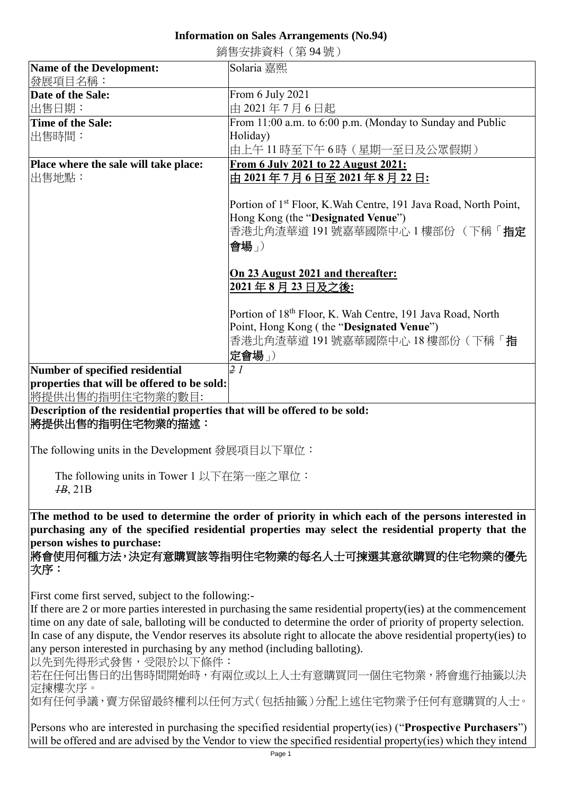## **Information on Sales Arrangements (No.94)**

銷售安排資料(第 94 號)

| <b>Name of the Development:</b><br>發展項目名稱:                                                                        | Solaria 嘉熙                                                                                          |
|-------------------------------------------------------------------------------------------------------------------|-----------------------------------------------------------------------------------------------------|
| Date of the Sale:                                                                                                 | From 6 July 2021                                                                                    |
|                                                                                                                   |                                                                                                     |
| 出售日期:                                                                                                             | 由 2021年7月6日起                                                                                        |
| <b>Time of the Sale:</b>                                                                                          | From 11:00 a.m. to 6:00 p.m. (Monday to Sunday and Public                                           |
| 出售時間:                                                                                                             | Holiday)                                                                                            |
|                                                                                                                   | 由上午 11 時至下午 6 時(星期一至日及公眾假期)                                                                         |
| Place where the sale will take place:                                                                             | From 6 July 2021 to 22 August 2021:                                                                 |
| 出售地點:                                                                                                             | 由 2021 年 7 月 6 日至 2021 年 8 月 22 日:                                                                  |
|                                                                                                                   |                                                                                                     |
|                                                                                                                   |                                                                                                     |
|                                                                                                                   | Portion of 1 <sup>st</sup> Floor, K. Wah Centre, 191 Java Road, North Point,                        |
|                                                                                                                   | Hong Kong (the "Designated Venue")                                                                  |
|                                                                                                                   | 香港北角渣華道 191號嘉華國際中心 1樓部份 (下稱「指定                                                                      |
|                                                                                                                   | 會場」)                                                                                                |
|                                                                                                                   |                                                                                                     |
|                                                                                                                   |                                                                                                     |
|                                                                                                                   | On 23 August 2021 and thereafter:                                                                   |
|                                                                                                                   | 2021年8月23日及之後:                                                                                      |
|                                                                                                                   |                                                                                                     |
|                                                                                                                   | Portion of 18 <sup>th</sup> Floor, K. Wah Centre, 191 Java Road, North                              |
|                                                                                                                   | Point, Hong Kong (the "Designated Venue")                                                           |
|                                                                                                                   | 香港北角渣華道 191 號嘉華國際中心 18 樓部份 (下稱「 <b>指</b>                                                            |
|                                                                                                                   |                                                                                                     |
|                                                                                                                   | 定會場」)                                                                                               |
| Number of specified residential                                                                                   | 2l                                                                                                  |
| properties that will be offered to be sold:                                                                       |                                                                                                     |
| 將提供出售的指明住宅物業的數目:                                                                                                  |                                                                                                     |
| Description of the residential properties that will be offered to be sold:                                        |                                                                                                     |
| 將提供出售的指明住宅物業的描述:                                                                                                  |                                                                                                     |
|                                                                                                                   |                                                                                                     |
|                                                                                                                   |                                                                                                     |
| The following units in the Development 發展項目以下單位:                                                                  |                                                                                                     |
|                                                                                                                   |                                                                                                     |
| The following units in Tower 1 以下在第一座之單位:                                                                         |                                                                                                     |
| $\mu$ <sub>B</sub> , 21B                                                                                          |                                                                                                     |
|                                                                                                                   |                                                                                                     |
| The method to be used to determine the order of priority in which each of the persons interested in               |                                                                                                     |
|                                                                                                                   | purchasing any of the specified residential properties may select the residential property that the |
| person wishes to purchase:                                                                                        |                                                                                                     |
|                                                                                                                   |                                                                                                     |
| 將會使用何種方法,決定有意購買該等指明住宅物業的每名人士可揀選其意欲購買的住宅物業的優先                                                                      |                                                                                                     |
| 次序:                                                                                                               |                                                                                                     |
|                                                                                                                   |                                                                                                     |
| First come first served, subject to the following:-                                                               |                                                                                                     |
| If there are 2 or more parties interested in purchasing the same residential property(ies) at the commencement    |                                                                                                     |
| time on any date of sale, balloting will be conducted to determine the order of priority of property selection.   |                                                                                                     |
| In case of any dispute, the Vendor reserves its absolute right to allocate the above residential property(ies) to |                                                                                                     |
|                                                                                                                   |                                                                                                     |
| any person interested in purchasing by any method (including balloting).                                          |                                                                                                     |
| 以先到先得形式發售,受限於以下條件:                                                                                                |                                                                                                     |
| 若在任何出售日的出售時間開始時,有兩位或以上人士有意購買同一個住宅物業,將會進行抽籤以決                                                                      |                                                                                                     |
| 定揀樓次序。                                                                                                            |                                                                                                     |
| 如有任何爭議,賣方保留最終權利以任何方式(包括抽籤)分配上述住宅物業予任何有意購買的人士。                                                                     |                                                                                                     |
|                                                                                                                   |                                                                                                     |
| Persons who are interested in purchasing the specified residential property(ies) ("Prospective Purchasers")       |                                                                                                     |
| will be offered and are advised by the Vendor to view the specified residential property(ies) which they intend   |                                                                                                     |
|                                                                                                                   |                                                                                                     |
| Page 1                                                                                                            |                                                                                                     |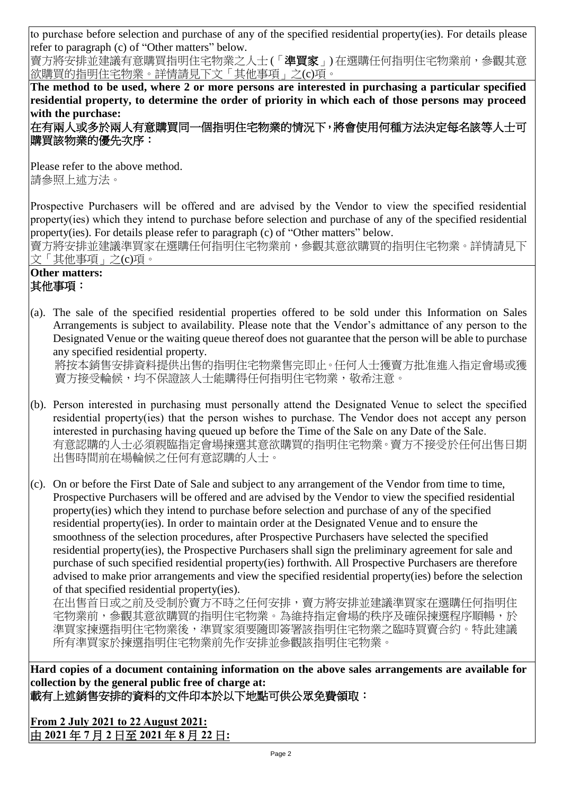to purchase before selection and purchase of any of the specified residential property(ies). For details please refer to paragraph (c) of "Other matters" below.

賣方將安排並建議有意購買指明住宅物業之人士 (「準買家」) 在選購任何指明住宅物業前,參觀其意 欲購買的指明住宅物業。詳情請見下文「其他事項」之(c)項。

**The method to be used, where 2 or more persons are interested in purchasing a particular specified residential property, to determine the order of priority in which each of those persons may proceed with the purchase:**

在有兩人或多於兩人有意購買同一個指明住宅物業的情況下,將會使用何種方法決定每名該等人士可 購買該物業的優先次序:

Please refer to the above method. 請參照上述方法。

Prospective Purchasers will be offered and are advised by the Vendor to view the specified residential property(ies) which they intend to purchase before selection and purchase of any of the specified residential property(ies). For details please refer to paragraph (c) of "Other matters" below.

賣方將安排並建議準買家在選購任何指明住宅物業前,參觀其意欲購買的指明住宅物業。詳情請見下 文「其他事項」之(c)項。

## **Other matters:** 其他事項:

(a). The sale of the specified residential properties offered to be sold under this Information on Sales Arrangements is subject to availability. Please note that the Vendor's admittance of any person to the Designated Venue or the waiting queue thereof does not guarantee that the person will be able to purchase any specified residential property.

將按本銷售安排資料提供出售的指明住宅物業售完即止。任何人士獲賣方批准進入指定會場或獲 賣方接受輪候,均不保證該人士能購得任何指明住宅物業,敬希注意。

- (b). Person interested in purchasing must personally attend the Designated Venue to select the specified residential property(ies) that the person wishes to purchase. The Vendor does not accept any person interested in purchasing having queued up before the Time of the Sale on any Date of the Sale. 有意認購的人士必須親臨指定會場揀選其意欲購買的指明住宅物業。賣方不接受於任何出售日期 出售時間前在場輪候之任何有意認購的人士。
- (c). On or before the First Date of Sale and subject to any arrangement of the Vendor from time to time, Prospective Purchasers will be offered and are advised by the Vendor to view the specified residential property(ies) which they intend to purchase before selection and purchase of any of the specified residential property(ies). In order to maintain order at the Designated Venue and to ensure the smoothness of the selection procedures, after Prospective Purchasers have selected the specified residential property(ies), the Prospective Purchasers shall sign the preliminary agreement for sale and purchase of such specified residential property(ies) forthwith. All Prospective Purchasers are therefore advised to make prior arrangements and view the specified residential property(ies) before the selection of that specified residential property(ies).

在出售首日或之前及受制於賣方不時之任何安排,賣方將安排並建議準買家在選購任何指明住 宅物業前,參觀其意欲購買的指明住宅物業。為維持指定會場的秩序及確保揀選程序順暢,於 準買家揀選指明住宅物業後,準買家須要隨即簽署該指明住宅物業之臨時買賣合約。特此建議 所有準買家於揀選指明住宅物業前先作安排並參觀該指明住宅物業。

**Hard copies of a document containing information on the above sales arrangements are available for collection by the general public free of charge at:** 載有上述銷售安排的資料的文件印本於以下地點可供公眾免費領取:

**From 2 July 2021 to 22 August 2021:** 由 **2021** 年 **7** 月 **2** 日至 **2021** 年 **8** 月 **22** 日**:**